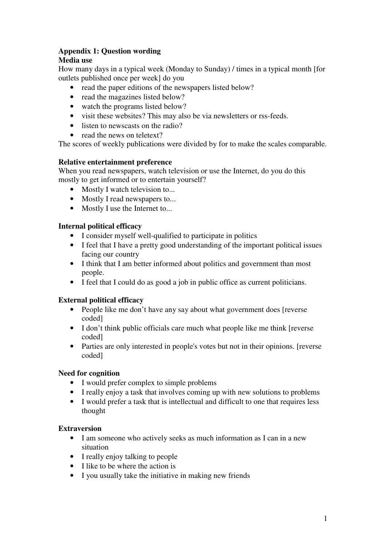# **Appendix 1: Question wording**

## **Media use**

How many days in a typical week (Monday to Sunday) / times in a typical month [for outlets published once per week] do you

- read the paper editions of the newspapers listed below?
- read the magazines listed below?
- watch the programs listed below?
- visit these websites? This may also be via newsletters or rss-feeds.
- listen to newscasts on the radio?
- read the news on teletext?

The scores of weekly publications were divided by for to make the scales comparable.

#### **Relative entertainment preference**

When you read newspapers, watch television or use the Internet, do you do this mostly to get informed or to entertain yourself?

- Mostly I watch television to...
- Mostly I read newspapers to...
- Mostly I use the Internet to...

#### **Internal political efficacy**

- I consider myself well-qualified to participate in politics
- I feel that I have a pretty good understanding of the important political issues facing our country
- I think that I am better informed about politics and government than most people.
- I feel that I could do as good a job in public office as current politicians.

## **External political efficacy**

- People like me don't have any say about what government does [reverse] coded]
- I don't think public officials care much what people like me think [reverse coded]
- Parties are only interested in people's votes but not in their opinions. [reverse] coded]

## **Need for cognition**

- I would prefer complex to simple problems
- I really enjoy a task that involves coming up with new solutions to problems
- I would prefer a task that is intellectual and difficult to one that requires less thought

#### **Extraversion**

- I am someone who actively seeks as much information as I can in a new situation
- I really enjoy talking to people
- I like to be where the action is
- I you usually take the initiative in making new friends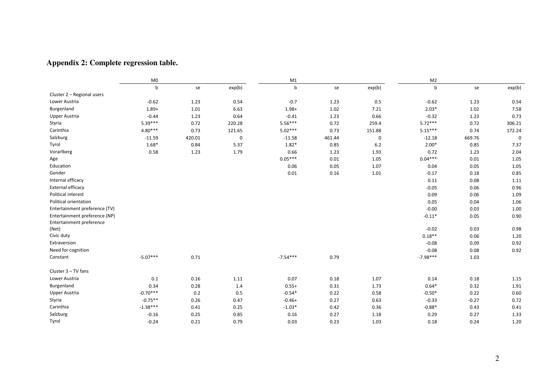#### **Appendix 2: Complete regression table.**

|                               | M <sub>0</sub> |        |             | M1         |        |             | M <sub>2</sub> |         |             |
|-------------------------------|----------------|--------|-------------|------------|--------|-------------|----------------|---------|-------------|
|                               | b              | se     | exp(b)      | b          | se     | exp(b)      | $\mathsf b$    | se      | exp(b)      |
| Cluster 2 - Regional users    |                |        |             |            |        |             |                |         |             |
| Lower Austria                 | $-0.62$        | 1.23   | 0.54        | $-0.7$     | 1.23   | 0.5         | $-0.62$        | 1.23    | 0.54        |
| Burgenland                    | $1.89+$        | 1.01   | 6.63        | $1.98 +$   | 1.02   | 7.21        | $2.03*$        | 1.02    | 7.58        |
| <b>Upper Austria</b>          | $-0.44$        | 1.23   | 0.64        | $-0.41$    | 1.23   | 0.66        | $-0.32$        | 1.23    | 0.73        |
| Styria                        | $5.39***$      | 0.72   | 220.28      | $5.56***$  | 0.72   | 259.4       | $5.72***$      | 0.72    | 306.21      |
| Carinthia                     | 4.80***        | 0.73   | 121.65      | $5.02***$  | 0.73   | 151.88      | $5.15***$      | 0.74    | 172.24      |
| Salzburg                      | $-11.59$       | 420.01 | $\mathbf 0$ | $-11.58$   | 461.44 | $\mathbf 0$ | $-12.18$       | 669.76  | $\mathbf 0$ |
| Tyrol                         | $1.68*$        | 0.84   | 5.37        | $1.82*$    | 0.85   | $6.2$       | $2.00*$        | 0.85    | 7.37        |
| Vorarlberg                    | 0.58           | 1.23   | 1.79        | 0.66       | 1.23   | 1.93        | 0.72           | 1.23    | 2.04        |
| Age                           |                |        |             | $0.05***$  | 0.01   | 1.05        | $0.04***$      | 0.01    | 1.05        |
| Education                     |                |        |             | 0.06       | 0.05   | 1.07        | 0.04           | 0.05    | 1.05        |
| Gender                        |                |        |             | 0.01       | 0.16   | 1.01        | $-0.17$        | 0.18    | 0.85        |
| Internal efficacy             |                |        |             |            |        |             | 0.11           | 0.08    | 1.11        |
| External efficacy             |                |        |             |            |        |             | $-0.05$        | 0.06    | 0.96        |
| Political interest            |                |        |             |            |        |             | 0.09           | 0.06    | 1.09        |
| Political orientation         |                |        |             |            |        |             | 0.05           | 0.04    | 1.06        |
| Entertainment preference (TV) |                |        |             |            |        |             | $-0.00$        | 0.03    | 1.00        |
| Entertainment preference (NP) |                |        |             |            |        |             | $-0.11*$       | 0.05    | 0.90        |
| Entertainment preference      |                |        |             |            |        |             |                |         |             |
| (Net)                         |                |        |             |            |        |             | $-0.02$        | 0.03    | 0.98        |
| Civic duty                    |                |        |             |            |        |             | $0.18**$       | 0.06    | 1.20        |
| Extraversion                  |                |        |             |            |        |             | $-0.08$        | 0.09    | 0.92        |
| Need for cognition            |                |        |             |            |        |             | $-0.08$        | 0.08    | 0.92        |
| Constant                      | $-5.07***$     | 0.71   |             | $-7.54***$ | 0.79   |             | $-7.98***$     | 1.03    |             |
| Cluster 3 - TV fans           |                |        |             |            |        |             |                |         |             |
| Lower Austria                 | 0.1            | 0.16   | 1.11        | 0.07       | 0.18   | 1.07        | 0.14           | 0.18    | 1.15        |
| Burgenland                    | 0.34           | 0.28   | 1.4         | $0.55+$    | 0.31   | 1.73        | $0.64*$        | 0.32    | 1.91        |
| Upper Austria                 | $-0.70***$     | 0.2    | $0.5\,$     | $-0.54*$   | 0.22   | 0.58        | $-0.50*$       | 0.22    | 0.60        |
| Styria                        | $-0.75**$      | 0.26   | 0.47        | $-0.46+$   | 0.27   | 0.63        | $-0.33$        | $-0.27$ | 0.72        |
| Carinthia                     | $-1.38***$     | 0.41   | 0.25        | $-1.03*$   | 0.42   | 0.36        | $-0.88*$       | 0.43    | 0.41        |
| Salzburg                      | $-0.16$        | 0.25   | 0.85        | 0.16       | 0.27   | 1.18        | 0.29           | 0.27    | 1.33        |
| Tyrol                         | $-0.24$        | 0.21   | 0.79        | 0.03       | 0.23   | 1.03        | 0.18           | 0.24    | 1.20        |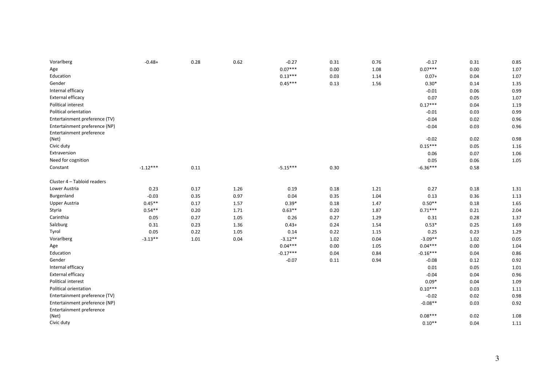| Vorarlberg                                                | $-0.48+$   | 0.28 | 0.62 | $-0.27$    | 0.31 | 0.76 | $-0.17$    | 0.31 | 0.85 |
|-----------------------------------------------------------|------------|------|------|------------|------|------|------------|------|------|
| Age                                                       |            |      |      | $0.07***$  | 0.00 | 1.08 | $0.07***$  | 0.00 | 1.07 |
| Education                                                 |            |      |      | $0.13***$  | 0.03 | 1.14 | $0.07+$    | 0.04 | 1.07 |
| Gender                                                    |            |      |      | $0.45***$  | 0.13 | 1.56 | $0.30*$    | 0.14 | 1.35 |
| Internal efficacy                                         |            |      |      |            |      |      | $-0.01$    | 0.06 | 0.99 |
| External efficacy                                         |            |      |      |            |      |      | 0.07       | 0.05 | 1.07 |
| Political interest                                        |            |      |      |            |      |      | $0.17***$  | 0.04 | 1.19 |
| Political orientation                                     |            |      |      |            |      |      | $-0.01$    | 0.03 | 0.99 |
| Entertainment preference (TV)                             |            |      |      |            |      |      | $-0.04$    | 0.02 | 0.96 |
| Entertainment preference (NP)<br>Entertainment preference |            |      |      |            |      |      | $-0.04$    | 0.03 | 0.96 |
| (Net)                                                     |            |      |      |            |      |      | $-0.02$    | 0.02 | 0.98 |
| Civic duty                                                |            |      |      |            |      |      | $0.15***$  | 0.05 | 1.16 |
| Extraversion                                              |            |      |      |            |      |      | 0.06       | 0.07 | 1.06 |
| Need for cognition                                        |            |      |      |            |      |      | 0.05       | 0.06 | 1.05 |
| Constant                                                  | $-1.12***$ | 0.11 |      | $-5.15***$ | 0.30 |      | $-6.36***$ | 0.58 |      |
| Cluster 4 - Tabloid readers                               |            |      |      |            |      |      |            |      |      |
| Lower Austria                                             | 0.23       | 0.17 | 1.26 | 0.19       | 0.18 | 1.21 | 0.27       | 0.18 | 1.31 |
| Burgenland                                                | $-0.03$    | 0.35 | 0.97 | 0.04       | 0.35 | 1.04 | 0.13       | 0.36 | 1.13 |
| <b>Upper Austria</b>                                      | $0.45**$   | 0.17 | 1.57 | $0.39*$    | 0.18 | 1.47 | $0.50**$   | 0.18 | 1.65 |
| Styria                                                    | $0.54**$   | 0.20 | 1.71 | $0.63**$   | 0.20 | 1.87 | $0.71***$  | 0.21 | 2.04 |
| Carinthia                                                 | 0.05       | 0.27 | 1.05 | 0.26       | 0.27 | 1.29 | 0.31       | 0.28 | 1.37 |
| Salzburg                                                  | 0.31       | 0.23 | 1.36 | $0.43+$    | 0.24 | 1.54 | $0.53*$    | 0.25 | 1.69 |
| Tyrol                                                     | 0.05       | 0.22 | 1.05 | 0.14       | 0.22 | 1.15 | 0.25       | 0.23 | 1.29 |
| Vorarlberg                                                | $-3.13**$  | 1.01 | 0.04 | $-3.12**$  | 1.02 | 0.04 | $-3.09**$  | 1.02 | 0.05 |
| Age                                                       |            |      |      | $0.04***$  | 0.00 | 1.05 | $0.04***$  | 0.00 | 1.04 |
| Education                                                 |            |      |      | $-0.17***$ | 0.04 | 0.84 | $-0.16***$ | 0.04 | 0.86 |
| Gender                                                    |            |      |      | $-0.07$    | 0.11 | 0.94 | $-0.08$    | 0.12 | 0.92 |
| Internal efficacy                                         |            |      |      |            |      |      | 0.01       | 0.05 | 1.01 |
| External efficacy                                         |            |      |      |            |      |      | $-0.04$    | 0.04 | 0.96 |
| Political interest                                        |            |      |      |            |      |      | $0.09*$    | 0.04 | 1.09 |
| Political orientation                                     |            |      |      |            |      |      | $0.10***$  | 0.03 | 1.11 |
| Entertainment preference (TV)                             |            |      |      |            |      |      | $-0.02$    | 0.02 | 0.98 |
| Entertainment preference (NP)<br>Entertainment preference |            |      |      |            |      |      | $-0.08**$  | 0.03 | 0.92 |
| (Net)                                                     |            |      |      |            |      |      | $0.08***$  | 0.02 | 1.08 |
| Civic duty                                                |            |      |      |            |      |      | $0.10**$   | 0.04 | 1.11 |
|                                                           |            |      |      |            |      |      |            |      |      |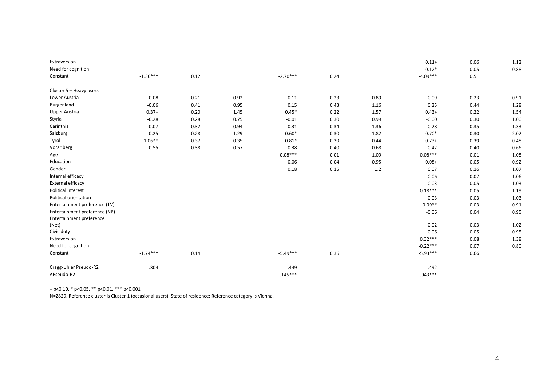| Extraversion                  |            |      |      |            |      |         | $0.11+$    | 0.06 | 1.12 |
|-------------------------------|------------|------|------|------------|------|---------|------------|------|------|
| Need for cognition            |            |      |      |            |      |         | $-0.12*$   | 0.05 | 0.88 |
| Constant                      | $-1.36***$ | 0.12 |      | $-2.70***$ | 0.24 |         | $-4.09***$ | 0.51 |      |
| Cluster 5 - Heavy users       |            |      |      |            |      |         |            |      |      |
| Lower Austria                 | $-0.08$    | 0.21 | 0.92 | $-0.11$    | 0.23 | 0.89    | $-0.09$    | 0.23 | 0.91 |
| Burgenland                    | $-0.06$    | 0.41 | 0.95 | 0.15       | 0.43 | 1.16    | 0.25       | 0.44 | 1.28 |
| Upper Austria                 | $0.37+$    | 0.20 | 1.45 | $0.45*$    | 0.22 | 1.57    | $0.43+$    | 0.22 | 1.54 |
| Styria                        | $-0.28$    | 0.28 | 0.75 | $-0.01$    | 0.30 | 0.99    | $-0.00$    | 0.30 | 1.00 |
| Carinthia                     | $-0.07$    | 0.32 | 0.94 | 0.31       | 0.34 | 1.36    | 0.28       | 0.35 | 1.33 |
| Salzburg                      | 0.25       | 0.28 | 1.29 | $0.60*$    | 0.30 | 1.82    | $0.70*$    | 0.30 | 2.02 |
| Tyrol                         | $-1.06**$  | 0.37 | 0.35 | $-0.81*$   | 0.39 | 0.44    | $-0.73+$   | 0.39 | 0.48 |
| Vorarlberg                    | $-0.55$    | 0.38 | 0.57 | $-0.38$    | 0.40 | 0.68    | $-0.42$    | 0.40 | 0.66 |
| Age                           |            |      |      | $0.08***$  | 0.01 | 1.09    | $0.08***$  | 0.01 | 1.08 |
| Education                     |            |      |      | $-0.06$    | 0.04 | 0.95    | $-0.08+$   | 0.05 | 0.92 |
| Gender                        |            |      |      | 0.18       | 0.15 | $1.2\,$ | 0.07       | 0.16 | 1.07 |
| Internal efficacy             |            |      |      |            |      |         | 0.06       | 0.07 | 1.06 |
| External efficacy             |            |      |      |            |      |         | 0.03       | 0.05 | 1.03 |
| Political interest            |            |      |      |            |      |         | $0.18***$  | 0.05 | 1.19 |
| Political orientation         |            |      |      |            |      |         | 0.03       | 0.03 | 1.03 |
| Entertainment preference (TV) |            |      |      |            |      |         | $-0.09**$  | 0.03 | 0.91 |
| Entertainment preference (NP) |            |      |      |            |      |         | $-0.06$    | 0.04 | 0.95 |
| Entertainment preference      |            |      |      |            |      |         |            |      |      |
| (Net)                         |            |      |      |            |      |         | 0.02       | 0.03 | 1.02 |
| Civic duty                    |            |      |      |            |      |         | $-0.06$    | 0.05 | 0.95 |
| Extraversion                  |            |      |      |            |      |         | $0.32***$  | 0.08 | 1.38 |
| Need for cognition            |            |      |      |            |      |         | $-0.22***$ | 0.07 | 0.80 |
| Constant                      | $-1.74***$ | 0.14 |      | $-5.49***$ | 0.36 |         | $-5.93***$ | 0.66 |      |
| Cragg-Uhler Pseudo-R2         | .304       |      |      | .449       |      |         | .492       |      |      |
| ∆Pseudo-R2                    |            |      |      | $.145***$  |      |         | $.043***$  |      |      |

+ p<0.10, \* p<0.05, \*\* p<0.01, \*\*\* p<0.001

N=2829. Reference cluster is Cluster 1 (occasional users). State of residence: Reference category is Vienna.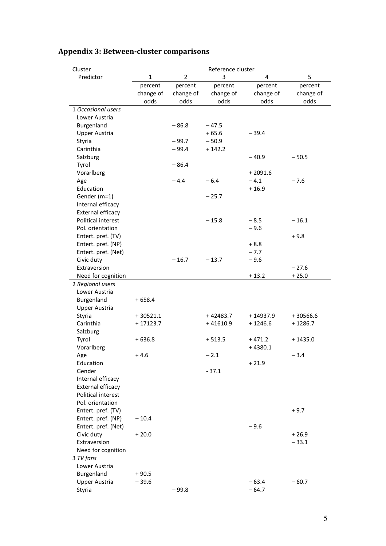| Cluster                                |              |                | Reference cluster |            |                    |
|----------------------------------------|--------------|----------------|-------------------|------------|--------------------|
| Predictor                              | $\mathbf{1}$ | $\overline{2}$ | 3                 | 4          | 5                  |
|                                        | percent      | percent        | percent           | percent    | percent            |
|                                        | change of    | change of      | change of         | change of  | change of          |
|                                        | odds         | odds           | odds              | odds       | odds               |
| 1 Occasional users                     |              |                |                   |            |                    |
| Lower Austria                          |              |                |                   |            |                    |
| Burgenland                             |              | $-86.8$        | $-47.5$           |            |                    |
| <b>Upper Austria</b>                   |              |                | $+65.6$           | $-39.4$    |                    |
| Styria                                 |              | $-99.7$        | $-50.9$           |            |                    |
| Carinthia                              |              | $-99.4$        | $+142.2$          |            |                    |
| Salzburg                               |              |                |                   | $-40.9$    | $-50.5$            |
| Tyrol                                  |              | $-86.4$        |                   |            |                    |
| Vorarlberg                             |              |                |                   | $+2091.6$  |                    |
| Age                                    |              | $-4.4$         | $-6.4$            | $-4.1$     | $-7.6$             |
| Education                              |              |                |                   | $+16.9$    |                    |
| Gender (m=1)                           |              |                | $-25.7$           |            |                    |
| Internal efficacy                      |              |                |                   |            |                    |
| External efficacy                      |              |                |                   |            |                    |
| Political interest                     |              |                | $-15.8$           | $-8.5$     | $-16.1$            |
| Pol. orientation                       |              |                |                   | $-9.6$     |                    |
| Entert. pref. (TV)                     |              |                |                   |            | $+9.8$             |
| Entert. pref. (NP)                     |              |                |                   | $+8.8$     |                    |
| Entert. pref. (Net)                    |              |                |                   | $-7.7$     |                    |
| Civic duty                             |              | $-16.7$        | $-13.7$           | $-9.6$     |                    |
| Extraversion                           |              |                |                   |            | $-27.6$            |
| Need for cognition                     |              |                |                   | $+13.2$    | $+25.0$            |
| 2 Regional users                       |              |                |                   |            |                    |
| Lower Austria                          |              |                |                   |            |                    |
| Burgenland                             | $+658.4$     |                |                   |            |                    |
| Upper Austria                          |              |                |                   |            |                    |
| Styria                                 | $+30521.1$   |                | $+42483.7$        | $+14937.9$ | $+30566.6$         |
| Carinthia                              | $+17123.7$   |                | $+41610.9$        | $+1246.6$  | $+1286.7$          |
| Salzburg                               |              |                |                   |            |                    |
| Tyrol                                  | $+636.8$     |                | $+513.5$          | $+471.2$   | $+1435.0$          |
| Vorarlberg                             |              |                |                   | $+4380.1$  |                    |
| Age                                    | $+4.6$       |                | $-2.1$            |            | $-3.4$             |
| Education                              |              |                |                   | $+21.9$    |                    |
| Gender                                 |              |                | $-37.1$           |            |                    |
| Internal efficacy                      |              |                |                   |            |                    |
| External efficacy                      |              |                |                   |            |                    |
| Political interest<br>Pol. orientation |              |                |                   |            |                    |
| Entert. pref. (TV)                     |              |                |                   |            | $+9.7$             |
| Entert. pref. (NP)                     |              |                |                   |            |                    |
|                                        | $-10.4$      |                |                   |            |                    |
| Entert. pref. (Net)<br>Civic duty      |              |                |                   | $-9.6$     |                    |
| Extraversion                           | $+20.0$      |                |                   |            | $+26.9$<br>$-33.1$ |
|                                        |              |                |                   |            |                    |
| Need for cognition<br>3 TV fans        |              |                |                   |            |                    |
| Lower Austria                          |              |                |                   |            |                    |
| Burgenland                             | $+90.5$      |                |                   |            |                    |
| Upper Austria                          | $-39.6$      |                |                   | $-63.4$    | $-60.7$            |
| Styria                                 |              | $-99.8$        |                   | $-64.7$    |                    |
|                                        |              |                |                   |            |                    |

# **Appendix 3: Between-cluster comparisons**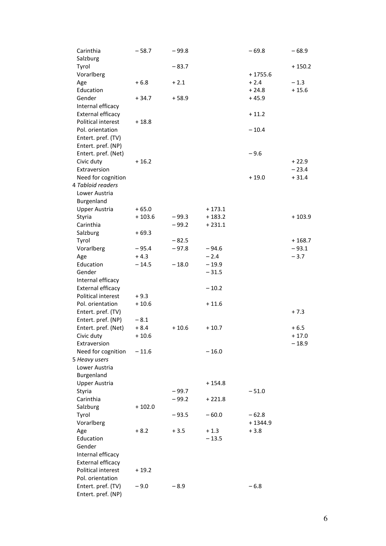| Carinthia            | $-58.7$  | $-99.8$ |          | $-69.8$   | $-68.9$  |
|----------------------|----------|---------|----------|-----------|----------|
| Salzburg             |          |         |          |           |          |
| Tyrol                |          | $-83.7$ |          |           | $+150.2$ |
| Vorarlberg           |          |         |          | $+1755.6$ |          |
| Age                  | $+6.8$   | $+2.1$  |          | $+2.4$    | $-1.3$   |
| Education            |          |         |          | $+24.8$   | $+15.6$  |
| Gender               | $+34.7$  | $+58.9$ |          | $+45.9$   |          |
| Internal efficacy    |          |         |          |           |          |
| External efficacy    |          |         |          | $+11.2$   |          |
| Political interest   | $+18.8$  |         |          |           |          |
| Pol. orientation     |          |         |          | $-10.4$   |          |
| Entert. pref. (TV)   |          |         |          |           |          |
| Entert. pref. (NP)   |          |         |          |           |          |
| Entert. pref. (Net)  |          |         |          | $-9.6$    |          |
| Civic duty           | $+16.2$  |         |          |           | $+22.9$  |
| Extraversion         |          |         |          |           | $-23.4$  |
| Need for cognition   |          |         |          | $+19.0$   | $+31.4$  |
| 4 Tabloid readers    |          |         |          |           |          |
| Lower Austria        |          |         |          |           |          |
| Burgenland           |          |         |          |           |          |
| <b>Upper Austria</b> | $+65.0$  |         | $+173.1$ |           |          |
| Styria               | $+103.6$ | $-99.3$ | $+183.2$ |           | $+103.9$ |
| Carinthia            |          | $-99.2$ | $+231.1$ |           |          |
| Salzburg             | $+69.3$  |         |          |           |          |
| Tyrol                |          | $-82.5$ |          |           | $+168.7$ |
| Vorarlberg           | $-95.4$  | $-97.8$ | $-94.6$  |           | $-93.1$  |
| Age                  | $+4.3$   |         | $-2.4$   |           | $-3.7$   |
| Education            | $-14.5$  | $-18.0$ | $-19.9$  |           |          |
| Gender               |          |         | $-31.5$  |           |          |
| Internal efficacy    |          |         |          |           |          |
| External efficacy    |          |         | $-10.2$  |           |          |
| Political interest   | $+9.3$   |         |          |           |          |
| Pol. orientation     | $+10.6$  |         | $+11.6$  |           |          |
| Entert. pref. (TV)   |          |         |          |           | $+7.3$   |
| Entert. pref. (NP)   | $-8.1$   |         |          |           |          |
| Entert. pref. (Net)  | $+8.4$   | $+10.6$ | $+10.7$  |           | $+6.5$   |
| Civic duty           | $+10.6$  |         |          |           | $+17.0$  |
| Extraversion         |          |         |          |           | $-18.9$  |
| Need for cognition   | $-11.6$  |         | $-16.0$  |           |          |
| 5 Heavy users        |          |         |          |           |          |
| Lower Austria        |          |         |          |           |          |
| Burgenland           |          |         |          |           |          |
| <b>Upper Austria</b> |          |         | $+154.8$ |           |          |
| Styria               |          | $-99.7$ |          | $-51.0$   |          |
| Carinthia            |          |         |          |           |          |
|                      |          | $-99.2$ | $+221.8$ |           |          |
| Salzburg             | $+102.0$ |         |          |           |          |
| Tyrol                |          | $-93.5$ | $-60.0$  | $-62.8$   |          |
| Vorarlberg           |          |         |          | $+1344.9$ |          |
| Age                  | $+8.2$   | $+3.5$  | $+1.3$   | $+3.8$    |          |
| Education            |          |         | $-13.5$  |           |          |
| Gender               |          |         |          |           |          |
| Internal efficacy    |          |         |          |           |          |
| External efficacy    |          |         |          |           |          |
| Political interest   | $+19.2$  |         |          |           |          |
| Pol. orientation     |          |         |          |           |          |
| Entert. pref. (TV)   | $-9.0$   | $-8.9$  |          | $-6.8$    |          |
| Entert. pref. (NP)   |          |         |          |           |          |